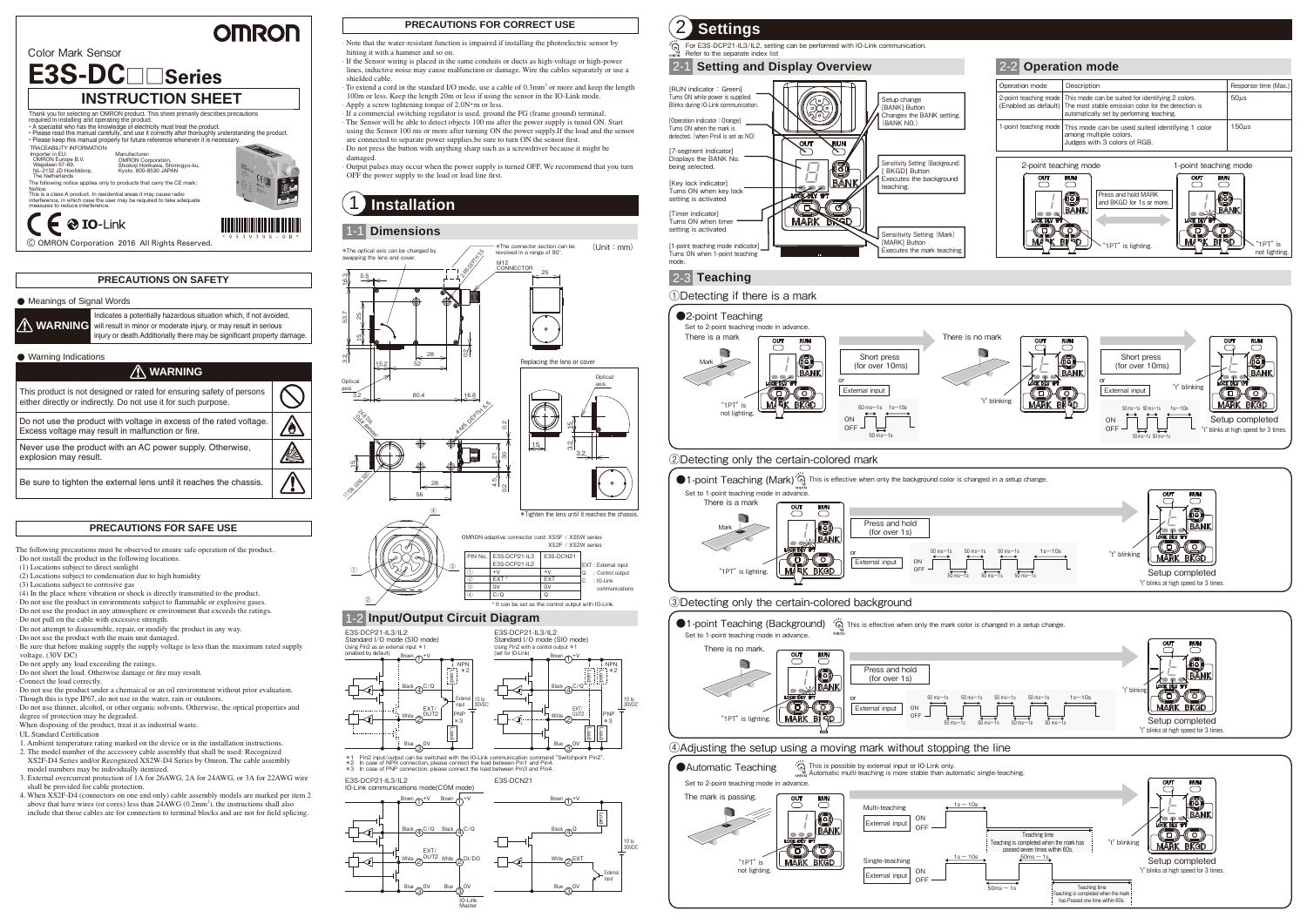$\mathsf{C}\in \mathsf{0}$  IO-Link © OMRON Corporation 2016 All Rights Reserved.

# **E3S-DC**□□**Series INSTRUCTION SHEET** Thank you for selecting an OMRON product. This sheet primarily describes precautions<br>required in installing and operating the product.<br>• A specialist who has the knowledge of electricity must treat the product.

## **OMRON**

Color Mark Sensor

#### **PRECAUTIONS FOR SAFE USE**

- · Do not install the product in the following locations. (1) Locations subject to direct sunlight
- (2) Locations subject to condensation due to high humidity
- (3) Locations subject to corrosive gas
- (4) In the place where vibration or shock is directly transmitted to the product.
- · Do not use the product in environments subject to flammable or explosive gases.
- · Do not use the product in any atmosphere or environment that exceeds the ratings. · Do not pull on the cable with excessive strength.
- · Do not attempt to disassemble, repair, or modify the product in any way.
- · Do not use the product with the main unit damaged.
- · Be sure that before making supply the supply voltage is less than the maximum rated supply voltage. (30V DC)
- · Do not apply any load exceeding the ratings.
- · Do not short the load. Otherwise damage or fire may result
- · Connect the load correctly.
- · Do not use the product under a chemaical or an oil environment without prior evaluation.
- · Though this is type IP67, do not use in the water, rain or outdoors. · Do not use thinner, alcohol, or other organic solvents. Otherwise, the optical properties and
- degree of protection may be degraded.
- · When disposing of the product, treat it as industrial waste.
- · UL Standard Certication
- 1. Ambient temperature rating marked on the device or in the installation instructions. 2. The model number of the accessory cable assembly that shall be used: Recognized XS2F-D4 Series and/or Recognized XS2W-D4 Series by Omron. The cable assembly
- model numbers may be individually itemized. 3. External overcurrent protection of 1A for 26AWG, 2A for 24AWG, or 3A for 22AWG wire
- shall be provided for cable protection. 4. When XS2F-D4 (connectors on one end only) cable assembly models are marked per item 2 above that have wires (or cores) less than 24AWG (0.2mm<sup>2</sup>), the instructions shall also include that those cables are for connection to terminal blocks and are not for field splicing.

#### **PRECAUTIONS ON SAFETY**

The following precautions must be observed to ensure safe operation of the product.

damaged. · Output pulses may occur when the power supply is turned OFF. We recommend that you turn OFF the power supply to the load or load line first.

#### **PRECAUTIONS FOR CORRECT USE**

Note that the water-resistant function is impaired if installing the photoelectric sensor by  $\hat{Q}$ 

hitting it with a hammer and so on.

· If the Sensor wiring is placed in the same conduits or ducts as high-voltage or high-power lines, inductive noise may cause malfunction or damage. Wire the cables separately or use a shielded cable.

· To extend a cord in the standard I/O mode, use a cable of 0.3mm<sup>2</sup> or more and keep the length 100m or less. Keep the length 20m or less if using the sensor in the IO-Link mode. Apply a screw tightening torque of 2.0N · m or less.

· If a commercial switching regulator is used, ground the FG (frame ground) terminal. · The Sensor will be able to detect objects 100 ms after the power supply is tuned ON. Start using the Sensor 100 ms or more after turning ON the power supply.If the load and the sensor are connected to separate power supplies, be sure to turn ON the sensor first. · Do not press the button with anything sharp such as a screwdriver because it might be

> communication 0V 0V Q

#### 1-1 **Dimensions**

## 1-2 **Input/Output Circuit Diagram**

## 1 **Installation**





\*1 Pin2 input/output can be switched with the IO-Link communication command "Switchpoint Pin2".<br>\*2 In case of NPN connection, please connect the load between Pin1 and Pin4.<br>\*3 In case of PNP connection, please connect the \*2 In case of NPN connection, please connect the load between Pin1 and Pin4. \*3 In case of PNP connection, please connect the load between Pin3 and Pin4.



①

②

③

③ ④



• Please read this manual carefully, and use it correctly after thoroughly understanding the product. • Please keep this manual properly for future reference whenever it is necessary.



#### Meanings of Signal Words

C/Q \* It can be set as the control output with IO-Link.

|  |  | Indicates a potentially hazardous situation which, if not avoided,<br>WARNING will result in minor or moderate injury, or may result in serious<br>injury or death. Additionally there may be significant property damage. |
|--|--|----------------------------------------------------------------------------------------------------------------------------------------------------------------------------------------------------------------------------|
|--|--|----------------------------------------------------------------------------------------------------------------------------------------------------------------------------------------------------------------------------|

#### ● Warning Indications





| ∕'I∖ WARNING                                                                                                                           |  |
|----------------------------------------------------------------------------------------------------------------------------------------|--|
| This product is not designed or rated for ensuring safety of persons<br>either directly or indirectly. Do not use it for such purpose. |  |
| Do not use the product with voltage in excess of the rated voltage.<br>Excess voltage may result in malfunction or fire.               |  |
| Never use the product with an AC power supply. Otherwise,<br>explosion may result.                                                     |  |
| Be sure to tighten the external lens until it reaches the chassis.                                                                     |  |





Notice: This is a class A product. In residential areas it may cause radio interference, in which case the user may be required to take adequate measures to reduce interference.



Manufacturer: OMRON Corporation, Shiokoji Horikawa, Shimogyo-ku, Kyoto. 600-8530 JAPAN Wegalaan 67-69, NL-2132 JD Hoofddorp, The Netherlands

The following notice applies only to products that carry the CE mark

TRACEABILITY INFORMATION: Importer in EU: OMRON Europe B.V.

\* 9 5 3 9 3 9 8 - 0 B \*